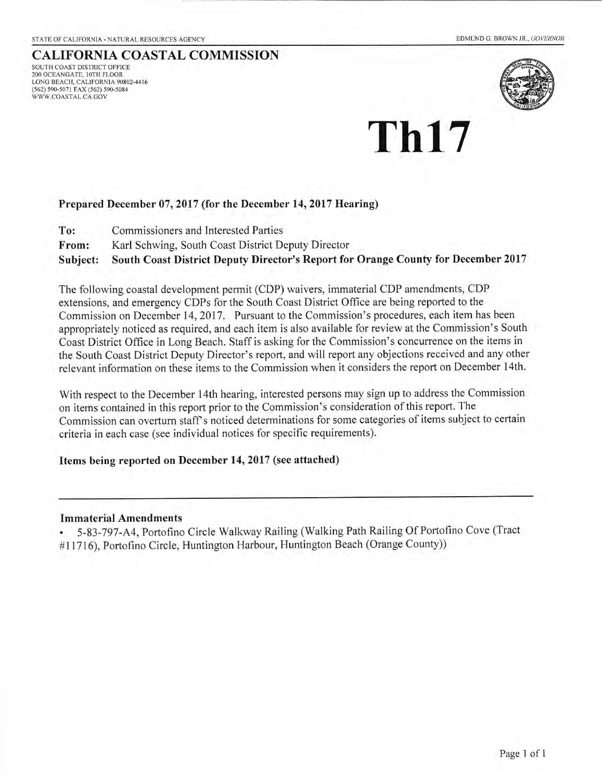## CALIFORNIA COASTAL COMMISSION

SOUTH COAST DISTRICT OFFICE 200 OCEANGATE, 10TH FLOOR<br>LONG BEACH, CALIFORNIA 90802-4416 (562) 590-5071 rAX (562) 590-5084 WWW.COASTAL.CA.GOV



# Th17

#### Prepared December 07, 2017 (for the December 14,2017 Hearing)

- To: Commissioners and Interested Parties
- From: Karl Schwing, South Coast District Deputy Director

Subject: South Coast District Deputy Director's Report for Orange County for December 2017

The following coastal development permit (CDP) waivers, immaterial CDP amendments, CDP extensions, and emergency CDPs for the South Coast District Office are being reported to the Commission on December 14,2017. Pursuant to the Commission's procedures, each item has been appropriately noticed as required, and each item is also available for review at the Commission's South Coast District Office in Long Beach. Staff is asking for the Commission's concurrence on the items in the South Coast District Deputy Director's report, and will report any objections received and any other relevant information on these items to the Commission when it considers the report on December 14th.

With respect to the December 14th hearing, interested persons may sign up to address the Commission on items contained in this report prior to the Commission's consideration ofthis report. The Commission can overturn staff s noticed determinations for some categories of items subject to certain criteria in each case (see individual notices for specific requirements).

#### Items being reported on December 14, 2017 (see attached)

#### Immaterial Amendments

. 5 -83-797 -A4, Portofino Circle Walkway Railing (Walking Path Railing Of Portofino Cove (Tract #11716), Portofino Circle, Huntington Harbour, Huntington Beach (Orange County))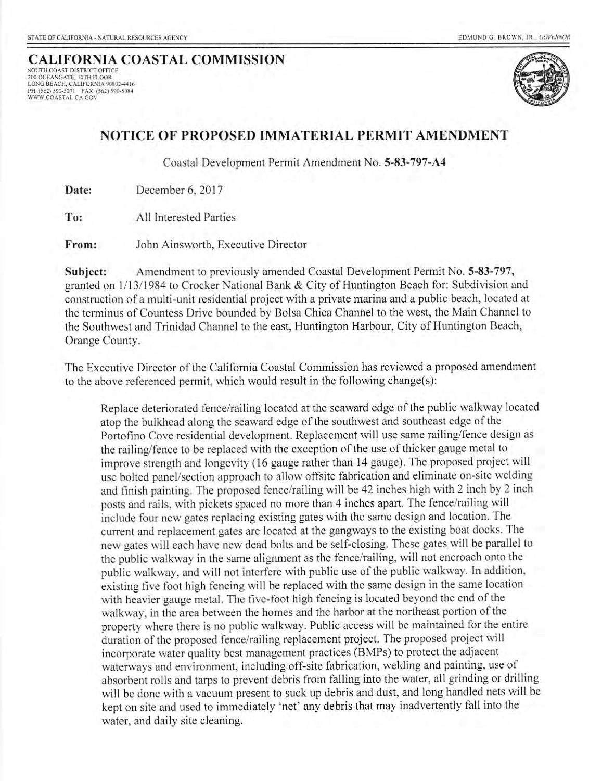## CALIFORNIA COASTAL COMMISSION

SOUTH COAST DISTRICT OFFICE 2OO OCEANGATE, IOTH FLOOR LONG BEACH, CALIFORNIA 90802-4416 PH (562) 59G5O7l FAX (562) t90-5084 !'lltU-CoASI& e4 C,o\l



## NOTICE OF PROPOSED IMMATERIAL PERMIT AMENDMENT

Coastal Development Permit Amendment No. 5-83-797-A{

Date: December 6, 2017

All Interested Parties To:

John Ainsworth, Executive Director From:

Subject: Amendment to previously amended Coastal Development Permit No. 5-83-797, granted on 1/13/1984 to Crocker National Bank & City of Huntington Beach for: Subdivision and construction of a multi-unit residential project with a private marina and a public beach, located at the terminus of Countess Drive bounded by Bolsa Chica Channel to the west, the Main Channel to the Southwest and Trinidad Channel to the east, Huntington Harbour, City of Huntington Beach, Orange County.

The Executive Director of the Califomia Coastal Commission has reviewed a proposed amendment to the above referenced permit, which would result in the following change(s):

Replace deteriorated fence/railing located at the seaward edge of the public walkway located atop the bulkhead along the seaward edge of the southwest and southeast edge of the Portofino Cove residential development. Replacement will use same railing/fence design as the railing/fence to be replaced with the exception of the use of thicker gauge metal to improve strength and longevity (16 gauge rather than 14 gauge). The proposed project will use bolted panel/section approach to allow offsite fabrication and eliminate on-site welding and finish painting. The proposed fence/railing will be 42 inches high with 2 inch by 2 inch posts and rails, with pickets spaced no more than 4 inches apart. The fence/railing will include four new gates replacing existing gates with the same design and location. The current and replacement gates are located at the gangways to the existing boat docks. The new gates will each have new dead bolts and be self-closing. These gates will be parallel to the public walkway in the same alignment as the fence/railing, will not encroach onto the public walkway, and witl not interfere with public use of the public walkway. In addition, existing five foot high fencing will be replaced with the same design in the same location with heavier gauge metal. The five-foot high fencing is located beyond the end of the walkway, in the area between the homes and the harbor at the northeast portion of the property where there is no pubtic walkway. Public access will be maintained for the entire duration of the proposed fence/railing replacement project. The proposed project will incorporate water quality best management practices (BMPs) to protect the adjacent waterways and environment, including off-site fabrication, welding and painting, use of absorbent rolls and tarps to prevent debris from falling into the water, all grinding or drilling will be done with a vacuum present to suck up debris and dust, and long handled nets will be kept on site and used to immediately 'net' any debris that may inadvertently fall into the water, and daily site cleaning.